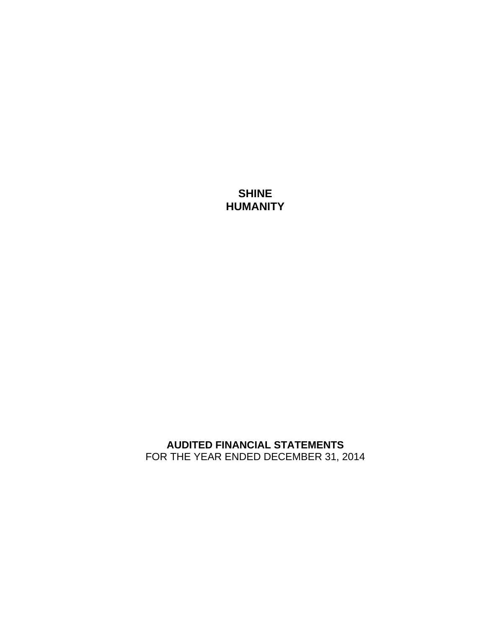**SHINE HUMANITY** 

**AUDITED FINANCIAL STATEMENTS**  FOR THE YEAR ENDED DECEMBER 31, 2014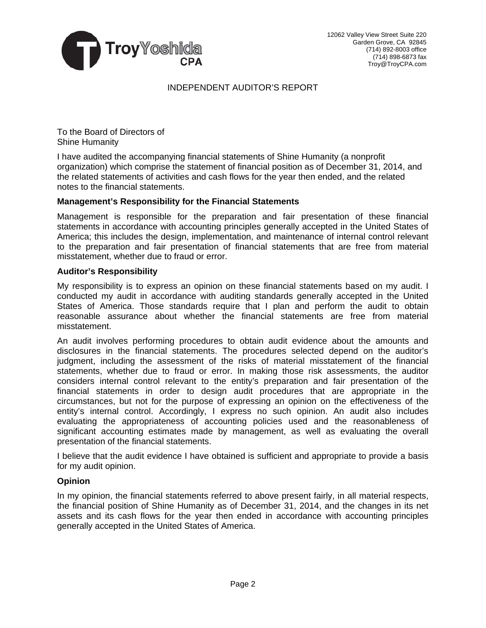

## INDEPENDENT AUDITOR'S REPORT

To the Board of Directors of Shine Humanity

I have audited the accompanying financial statements of Shine Humanity (a nonprofit organization) which comprise the statement of financial position as of December 31, 2014, and the related statements of activities and cash flows for the year then ended, and the related notes to the financial statements.

## **Management's Responsibility for the Financial Statements**

Management is responsible for the preparation and fair presentation of these financial statements in accordance with accounting principles generally accepted in the United States of America; this includes the design, implementation, and maintenance of internal control relevant to the preparation and fair presentation of financial statements that are free from material misstatement, whether due to fraud or error.

### **Auditor's Responsibility**

My responsibility is to express an opinion on these financial statements based on my audit. I conducted my audit in accordance with auditing standards generally accepted in the United States of America. Those standards require that I plan and perform the audit to obtain reasonable assurance about whether the financial statements are free from material misstatement.

An audit involves performing procedures to obtain audit evidence about the amounts and disclosures in the financial statements. The procedures selected depend on the auditor's judgment, including the assessment of the risks of material misstatement of the financial statements, whether due to fraud or error. In making those risk assessments, the auditor considers internal control relevant to the entity's preparation and fair presentation of the financial statements in order to design audit procedures that are appropriate in the circumstances, but not for the purpose of expressing an opinion on the effectiveness of the entity's internal control. Accordingly, I express no such opinion. An audit also includes evaluating the appropriateness of accounting policies used and the reasonableness of significant accounting estimates made by management, as well as evaluating the overall presentation of the financial statements.

I believe that the audit evidence I have obtained is sufficient and appropriate to provide a basis for my audit opinion.

### **Opinion**

In my opinion, the financial statements referred to above present fairly, in all material respects, the financial position of Shine Humanity as of December 31, 2014, and the changes in its net assets and its cash flows for the year then ended in accordance with accounting principles generally accepted in the United States of America.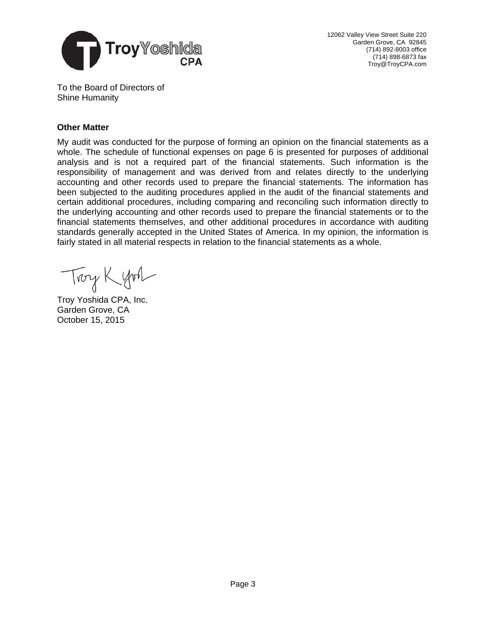

12062 Valley View Street Suite 220 Garden Grove, CA 92845 (714) 892-8003 office (714) 898-6873 fax Troy@TroyCPA.com

To the Board of Directors of Shine Humanity

## **Other Matter**

My audit was conducted for the purpose of forming an opinion on the financial statements as a whole. The schedule of functional expenses on page 6 is presented for purposes of additional analysis and is not a required part of the financial statements. Such information is the responsibility of management and was derived from and relates directly to the underlying accounting and other records used to prepare the financial statements. The information has been subjected to the auditing procedures applied in the audit of the financial statements and certain additional procedures, including comparing and reconciling such information directly to the underlying accounting and other records used to prepare the financial statements or to the financial statements themselves, and other additional procedures in accordance with auditing standards generally accepted in the United States of America. In my opinion, the information is fairly stated in all material respects in relation to the financial statements as a whole.

Troy Kyon

Troy Yoshida CPA, Inc. Garden Grove, CA October 15, 2015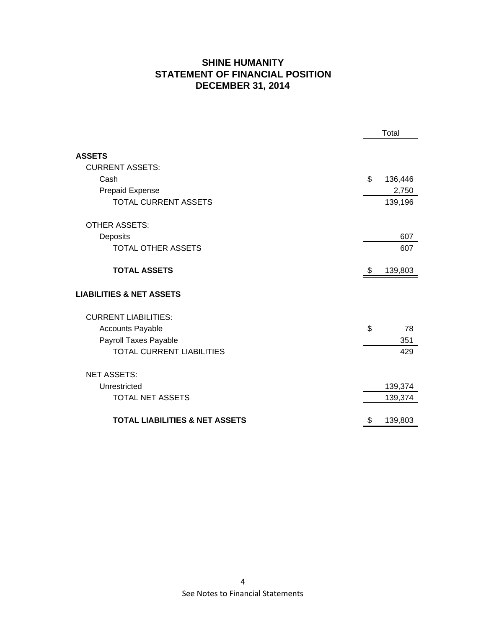# **SHINE HUMANITY STATEMENT OF FINANCIAL POSITION DECEMBER 31, 2014**

|                                           | Total |         |
|-------------------------------------------|-------|---------|
| <b>ASSETS</b>                             |       |         |
| <b>CURRENT ASSETS:</b>                    |       |         |
| Cash                                      | \$    | 136,446 |
| Prepaid Expense                           |       | 2,750   |
| <b>TOTAL CURRENT ASSETS</b>               |       | 139,196 |
| <b>OTHER ASSETS:</b>                      |       |         |
| Deposits                                  |       | 607     |
| <b>TOTAL OTHER ASSETS</b>                 |       | 607     |
| <b>TOTAL ASSETS</b>                       | \$    | 139,803 |
| <b>LIABILITIES &amp; NET ASSETS</b>       |       |         |
| <b>CURRENT LIABILITIES:</b>               |       |         |
| <b>Accounts Payable</b>                   | \$    | 78      |
| Payroll Taxes Payable                     |       | 351     |
| <b>TOTAL CURRENT LIABILITIES</b>          |       | 429     |
| <b>NET ASSETS:</b>                        |       |         |
| Unrestricted                              |       | 139,374 |
| <b>TOTAL NET ASSETS</b>                   |       | 139,374 |
| <b>TOTAL LIABILITIES &amp; NET ASSETS</b> | \$    | 139,803 |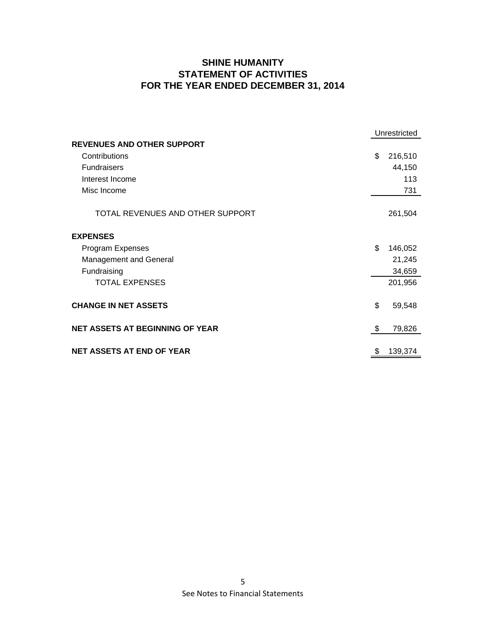# **SHINE HUMANITY STATEMENT OF ACTIVITIES FOR THE YEAR ENDED DECEMBER 31, 2014**

|                                        | Unrestricted  |  |
|----------------------------------------|---------------|--|
| <b>REVENUES AND OTHER SUPPORT</b>      |               |  |
| Contributions                          | \$<br>216,510 |  |
| <b>Fundraisers</b>                     | 44,150        |  |
| Interest Income                        | 113           |  |
| Misc Income                            | 731           |  |
|                                        |               |  |
| TOTAL REVENUES AND OTHER SUPPORT       | 261,504       |  |
| <b>EXPENSES</b>                        |               |  |
| Program Expenses                       | \$<br>146,052 |  |
| <b>Management and General</b>          | 21,245        |  |
| Fundraising                            | 34,659        |  |
| <b>TOTAL EXPENSES</b>                  | 201,956       |  |
|                                        |               |  |
| <b>CHANGE IN NET ASSETS</b>            | \$<br>59,548  |  |
| <b>NET ASSETS AT BEGINNING OF YEAR</b> | \$<br>79,826  |  |
|                                        |               |  |
| <b>NET ASSETS AT END OF YEAR</b>       | \$<br>139,374 |  |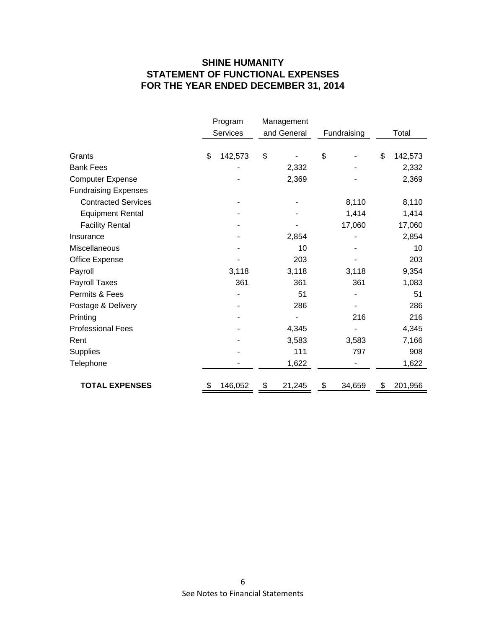# **SHINE HUMANITY STATEMENT OF FUNCTIONAL EXPENSES FOR THE YEAR ENDED DECEMBER 31, 2014**

|                             | Program       | Management   |              |    |         |
|-----------------------------|---------------|--------------|--------------|----|---------|
|                             | Services      | and General  | Fundraising  |    | Total   |
|                             |               |              |              |    |         |
| Grants                      | \$<br>142,573 | \$           | \$           | \$ | 142,573 |
| <b>Bank Fees</b>            |               | 2,332        |              |    | 2,332   |
| <b>Computer Expense</b>     |               | 2,369        |              |    | 2,369   |
| <b>Fundraising Expenses</b> |               |              |              |    |         |
| <b>Contracted Services</b>  |               |              | 8,110        |    | 8,110   |
| <b>Equipment Rental</b>     |               |              | 1,414        |    | 1,414   |
| <b>Facility Rental</b>      |               |              | 17,060       |    | 17,060  |
| Insurance                   |               | 2,854        |              |    | 2,854   |
| Miscellaneous               |               | 10           |              |    | 10      |
| Office Expense              |               | 203          |              |    | 203     |
| Payroll                     | 3,118         | 3,118        | 3,118        |    | 9,354   |
| Payroll Taxes               | 361           | 361          | 361          |    | 1,083   |
| Permits & Fees              |               | 51           |              |    | 51      |
| Postage & Delivery          |               | 286          |              |    | 286     |
| Printing                    |               |              | 216          |    | 216     |
| <b>Professional Fees</b>    |               | 4,345        |              |    | 4,345   |
| Rent                        |               | 3,583        | 3,583        |    | 7,166   |
| Supplies                    |               | 111          | 797          |    | 908     |
| Telephone                   |               | 1,622        |              |    | 1,622   |
| <b>TOTAL EXPENSES</b>       | \$<br>146,052 | \$<br>21,245 | \$<br>34,659 | \$ | 201,956 |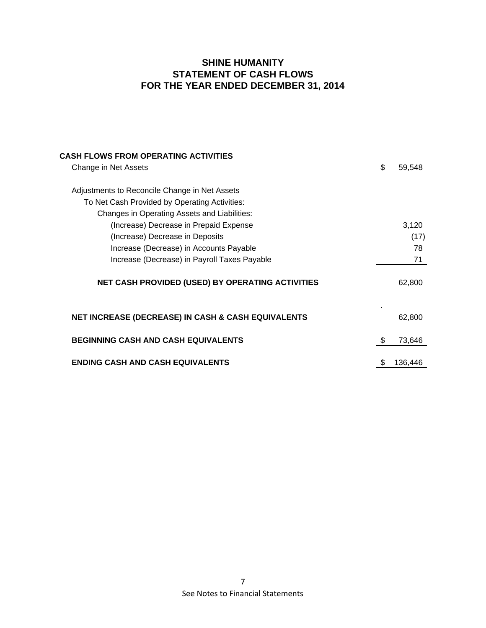## **SHINE HUMANITY STATEMENT OF CASH FLOWS FOR THE YEAR ENDED DECEMBER 31, 2014**

| CASH FLOWS FROM OPERATING ACTIVITIES                          |              |
|---------------------------------------------------------------|--------------|
| Change in Net Assets                                          | \$<br>59,548 |
| Adjustments to Reconcile Change in Net Assets                 |              |
| To Net Cash Provided by Operating Activities:                 |              |
| Changes in Operating Assets and Liabilities:                  |              |
| (Increase) Decrease in Prepaid Expense                        | 3,120        |
| (Increase) Decrease in Deposits                               | (17)         |
| Increase (Decrease) in Accounts Payable                       | 78           |
| Increase (Decrease) in Payroll Taxes Payable                  | 71           |
| NET CASH PROVIDED (USED) BY OPERATING ACTIVITIES              | 62,800       |
| <b>NET INCREASE (DECREASE) IN CASH &amp; CASH EQUIVALENTS</b> | 62,800       |
| <b>BEGINNING CASH AND CASH EQUIVALENTS</b>                    | \$<br>73,646 |
| <b>ENDING CASH AND CASH EQUIVALENTS</b>                       | 136,446      |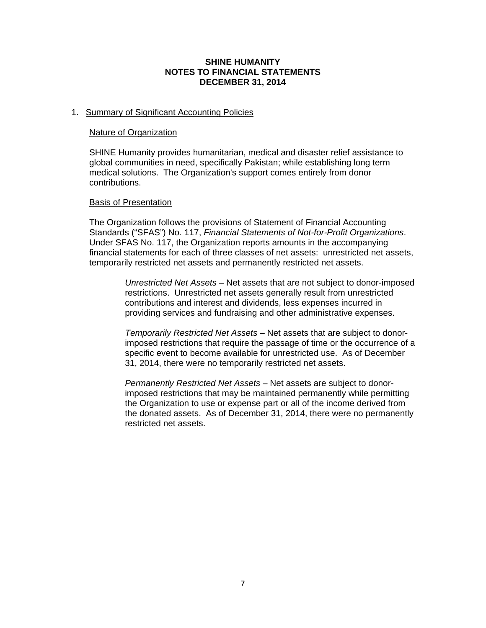### **SHINE HUMANITY NOTES TO FINANCIAL STATEMENTS DECEMBER 31, 2014**

## 1. Summary of Significant Accounting Policies

#### Nature of Organization

SHINE Humanity provides humanitarian, medical and disaster relief assistance to global communities in need, specifically Pakistan; while establishing long term medical solutions. The Organization's support comes entirely from donor contributions.

### Basis of Presentation

The Organization follows the provisions of Statement of Financial Accounting Standards ("SFAS") No. 117, *Financial Statements of Not-for-Profit Organizations*. Under SFAS No. 117, the Organization reports amounts in the accompanying financial statements for each of three classes of net assets: unrestricted net assets, temporarily restricted net assets and permanently restricted net assets.

> *Unrestricted Net Assets* – Net assets that are not subject to donor-imposed restrictions. Unrestricted net assets generally result from unrestricted contributions and interest and dividends, less expenses incurred in providing services and fundraising and other administrative expenses.

> *Temporarily Restricted Net Assets* – Net assets that are subject to donorimposed restrictions that require the passage of time or the occurrence of a specific event to become available for unrestricted use. As of December 31, 2014, there were no temporarily restricted net assets.

> *Permanently Restricted Net Assets* – Net assets are subject to donorimposed restrictions that may be maintained permanently while permitting the Organization to use or expense part or all of the income derived from the donated assets. As of December 31, 2014, there were no permanently restricted net assets.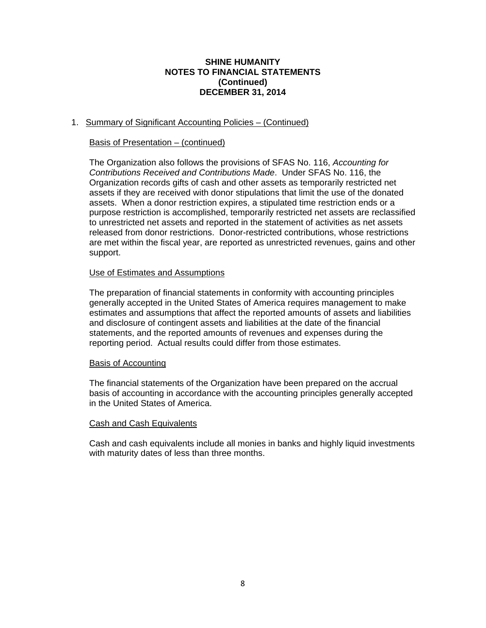### **SHINE HUMANITY NOTES TO FINANCIAL STATEMENTS (Continued) DECEMBER 31, 2014**

## 1. Summary of Significant Accounting Policies – (Continued)

## Basis of Presentation – (continued)

The Organization also follows the provisions of SFAS No. 116, *Accounting for Contributions Received and Contributions Made*. Under SFAS No. 116, the Organization records gifts of cash and other assets as temporarily restricted net assets if they are received with donor stipulations that limit the use of the donated assets. When a donor restriction expires, a stipulated time restriction ends or a purpose restriction is accomplished, temporarily restricted net assets are reclassified to unrestricted net assets and reported in the statement of activities as net assets released from donor restrictions. Donor-restricted contributions, whose restrictions are met within the fiscal year, are reported as unrestricted revenues, gains and other support.

## Use of Estimates and Assumptions

The preparation of financial statements in conformity with accounting principles generally accepted in the United States of America requires management to make estimates and assumptions that affect the reported amounts of assets and liabilities and disclosure of contingent assets and liabilities at the date of the financial statements, and the reported amounts of revenues and expenses during the reporting period. Actual results could differ from those estimates.

### Basis of Accounting

The financial statements of the Organization have been prepared on the accrual basis of accounting in accordance with the accounting principles generally accepted in the United States of America.

### Cash and Cash Equivalents

Cash and cash equivalents include all monies in banks and highly liquid investments with maturity dates of less than three months.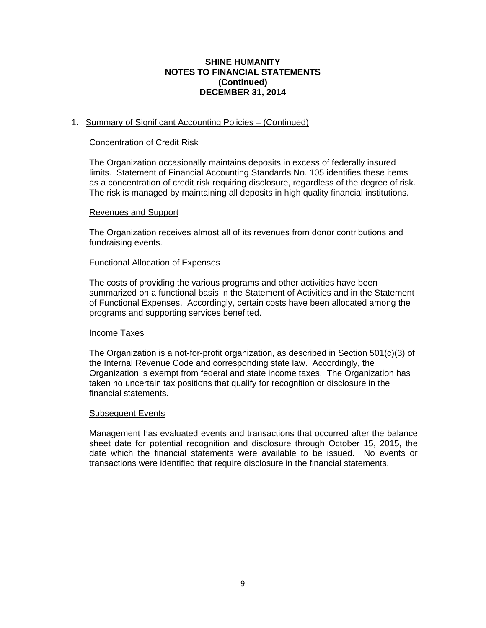### **SHINE HUMANITY NOTES TO FINANCIAL STATEMENTS (Continued) DECEMBER 31, 2014**

## 1. Summary of Significant Accounting Policies – (Continued)

### Concentration of Credit Risk

The Organization occasionally maintains deposits in excess of federally insured limits. Statement of Financial Accounting Standards No. 105 identifies these items as a concentration of credit risk requiring disclosure, regardless of the degree of risk. The risk is managed by maintaining all deposits in high quality financial institutions.

#### Revenues and Support

The Organization receives almost all of its revenues from donor contributions and fundraising events.

#### Functional Allocation of Expenses

The costs of providing the various programs and other activities have been summarized on a functional basis in the Statement of Activities and in the Statement of Functional Expenses. Accordingly, certain costs have been allocated among the programs and supporting services benefited.

#### Income Taxes

The Organization is a not-for-profit organization, as described in Section 501(c)(3) of the Internal Revenue Code and corresponding state law. Accordingly, the Organization is exempt from federal and state income taxes. The Organization has taken no uncertain tax positions that qualify for recognition or disclosure in the financial statements.

#### Subsequent Events

Management has evaluated events and transactions that occurred after the balance sheet date for potential recognition and disclosure through October 15, 2015, the date which the financial statements were available to be issued. No events or transactions were identified that require disclosure in the financial statements.